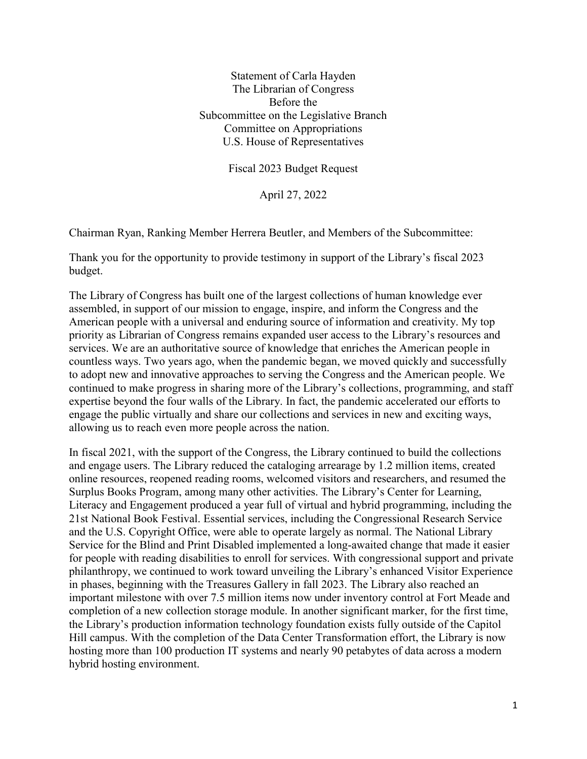Statement of Carla Hayden The Librarian of Congress Before the Subcommittee on the Legislative Branch Committee on Appropriations U.S. House of Representatives

Fiscal 2023 Budget Request

April 27, 2022

Chairman Ryan, Ranking Member Herrera Beutler, and Members of the Subcommittee:

Thank you for the opportunity to provide testimony in support of the Library's fiscal 2023 budget.

The Library of Congress has built one of the largest collections of human knowledge ever assembled, in support of our mission to engage, inspire, and inform the Congress and the American people with a universal and enduring source of information and creativity. My top priority as Librarian of Congress remains expanded user access to the Library's resources and services. We are an authoritative source of knowledge that enriches the American people in countless ways. Two years ago, when the pandemic began, we moved quickly and successfully to adopt new and innovative approaches to serving the Congress and the American people. We continued to make progress in sharing more of the Library's collections, programming, and staff expertise beyond the four walls of the Library. In fact, the pandemic accelerated our efforts to engage the public virtually and share our collections and services in new and exciting ways, allowing us to reach even more people across the nation.

In fiscal 2021, with the support of the Congress, the Library continued to build the collections and engage users. The Library reduced the cataloging arrearage by 1.2 million items, created online resources, reopened reading rooms, welcomed visitors and researchers, and resumed the Surplus Books Program, among many other activities. The Library's Center for Learning, Literacy and Engagement produced a year full of virtual and hybrid programming, including the 21st National Book Festival. Essential services, including the Congressional Research Service and the U.S. Copyright Office, were able to operate largely as normal. The National Library Service for the Blind and Print Disabled implemented a long-awaited change that made it easier for people with reading disabilities to enroll for services. With congressional support and private philanthropy, we continued to work toward unveiling the Library's enhanced Visitor Experience in phases, beginning with the Treasures Gallery in fall 2023. The Library also reached an important milestone with over 7.5 million items now under inventory control at Fort Meade and completion of a new collection storage module. In another significant marker, for the first time, the Library's production information technology foundation exists fully outside of the Capitol Hill campus. With the completion of the Data Center Transformation effort, the Library is now hosting more than 100 production IT systems and nearly 90 petabytes of data across a modern hybrid hosting environment.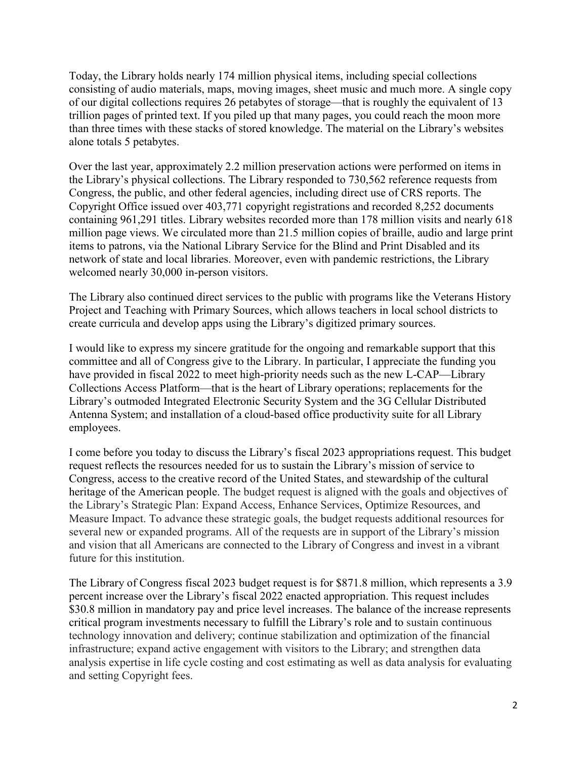Today, the Library holds nearly 174 million physical items, including special collections consisting of audio materials, maps, moving images, sheet music and much more. A single copy of our digital collections requires 26 petabytes of storage—that is roughly the equivalent of 13 trillion pages of printed text. If you piled up that many pages, you could reach the moon more than three times with these stacks of stored knowledge. The material on the Library's websites alone totals 5 petabytes.

Over the last year, approximately 2.2 million preservation actions were performed on items in the Library's physical collections. The Library responded to 730,562 reference requests from Congress, the public, and other federal agencies, including direct use of CRS reports. The Copyright Office issued over 403,771 copyright registrations and recorded 8,252 documents containing 961,291 titles. Library websites recorded more than 178 million visits and nearly 618 million page views. We circulated more than 21.5 million copies of braille, audio and large print items to patrons, via the National Library Service for the Blind and Print Disabled and its network of state and local libraries. Moreover, even with pandemic restrictions, the Library welcomed nearly 30,000 in-person visitors.

The Library also continued direct services to the public with programs like the Veterans History Project and Teaching with Primary Sources, which allows teachers in local school districts to create curricula and develop apps using the Library's digitized primary sources.

I would like to express my sincere gratitude for the ongoing and remarkable support that this committee and all of Congress give to the Library. In particular, I appreciate the funding you have provided in fiscal 2022 to meet high-priority needs such as the new L-CAP—Library Collections Access Platform—that is the heart of Library operations; replacements for the Library's outmoded Integrated Electronic Security System and the 3G Cellular Distributed Antenna System; and installation of a cloud-based office productivity suite for all Library employees.

I come before you today to discuss the Library's fiscal 2023 appropriations request. This budget request reflects the resources needed for us to sustain the Library's mission of service to Congress, access to the creative record of the United States, and stewardship of the cultural heritage of the American people. The budget request is aligned with the goals and objectives of the Library's Strategic Plan: Expand Access, Enhance Services, Optimize Resources, and Measure Impact. To advance these strategic goals, the budget requests additional resources for several new or expanded programs. All of the requests are in support of the Library's mission and vision that all Americans are connected to the Library of Congress and invest in a vibrant future for this institution.

The Library of Congress fiscal 2023 budget request is for \$871.8 million, which represents a 3.9 percent increase over the Library's fiscal 2022 enacted appropriation. This request includes \$30.8 million in mandatory pay and price level increases. The balance of the increase represents critical program investments necessary to fulfill the Library's role and to sustain continuous technology innovation and delivery; continue stabilization and optimization of the financial infrastructure; expand active engagement with visitors to the Library; and strengthen data analysis expertise in life cycle costing and cost estimating as well as data analysis for evaluating and setting Copyright fees.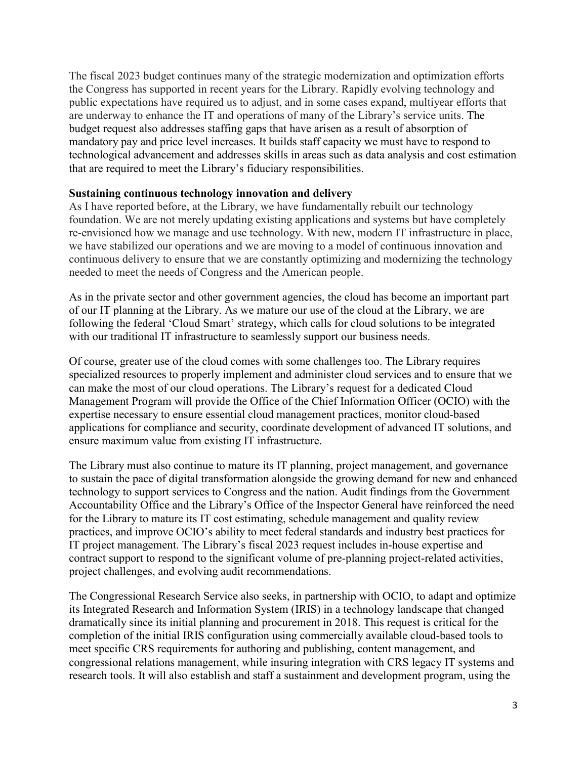The fiscal 2023 budget continues many of the strategic modernization and optimization efforts the Congress has supported in recent years for the Library. Rapidly evolving technology and public expectations have required us to adjust, and in some cases expand, multiyear efforts that are underway to enhance the IT and operations of many of the Library's service units. The budget request also addresses staffing gaps that have arisen as a result of absorption of mandatory pay and price level increases. It builds staff capacity we must have to respond to technological advancement and addresses skills in areas such as data analysis and cost estimation that are required to meet the Library's fiduciary responsibilities.

## **Sustaining continuous technology innovation and delivery**

As I have reported before, at the Library, we have fundamentally rebuilt our technology foundation. We are not merely updating existing applications and systems but have completely re-envisioned how we manage and use technology. With new, modern IT infrastructure in place, we have stabilized our operations and we are moving to a model of continuous innovation and continuous delivery to ensure that we are constantly optimizing and modernizing the technology needed to meet the needs of Congress and the American people.

As in the private sector and other government agencies, the cloud has become an important part of our IT planning at the Library. As we mature our use of the cloud at the Library, we are following the federal 'Cloud Smart' strategy, which calls for cloud solutions to be integrated with our traditional IT infrastructure to seamlessly support our business needs.

Of course, greater use of the cloud comes with some challenges too. The Library requires specialized resources to properly implement and administer cloud services and to ensure that we can make the most of our cloud operations. The Library's request for a dedicated Cloud Management Program will provide the Office of the Chief Information Officer (OCIO) with the expertise necessary to ensure essential cloud management practices, monitor cloud-based applications for compliance and security, coordinate development of advanced IT solutions, and ensure maximum value from existing IT infrastructure.

The Library must also continue to mature its IT planning, project management, and governance to sustain the pace of digital transformation alongside the growing demand for new and enhanced technology to support services to Congress and the nation. Audit findings from the Government Accountability Office and the Library's Office of the Inspector General have reinforced the need for the Library to mature its IT cost estimating, schedule management and quality review practices, and improve OCIO's ability to meet federal standards and industry best practices for IT project management. The Library's fiscal 2023 request includes in-house expertise and contract support to respond to the significant volume of pre-planning project-related activities, project challenges, and evolving audit recommendations.

The Congressional Research Service also seeks, in partnership with OCIO, to adapt and optimize its Integrated Research and Information System (IRIS) in a technology landscape that changed dramatically since its initial planning and procurement in 2018. This request is critical for the completion of the initial IRIS configuration using commercially available cloud-based tools to meet specific CRS requirements for authoring and publishing, content management, and congressional relations management, while insuring integration with CRS legacy IT systems and research tools. It will also establish and staff a sustainment and development program, using the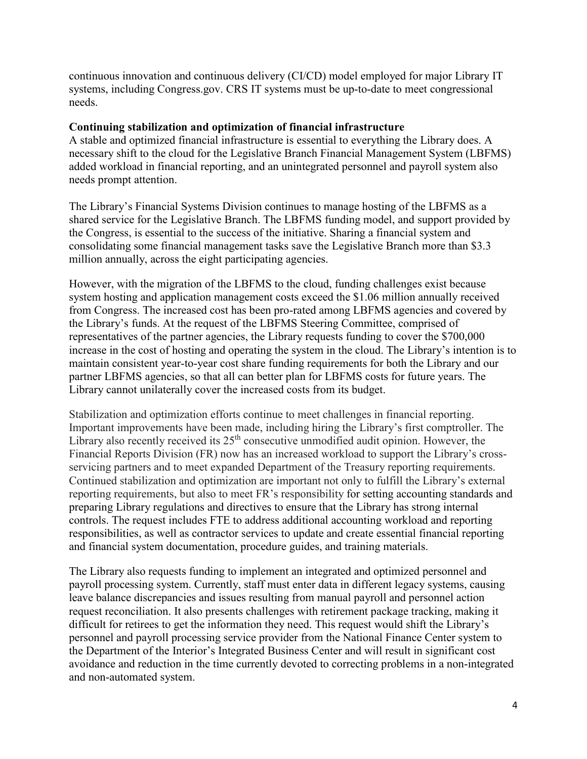continuous innovation and continuous delivery (CI/CD) model employed for major Library IT systems, including Congress.gov. CRS IT systems must be up-to-date to meet congressional needs.

## **Continuing stabilization and optimization of financial infrastructure**

A stable and optimized financial infrastructure is essential to everything the Library does. A necessary shift to the cloud for the Legislative Branch Financial Management System (LBFMS) added workload in financial reporting, and an unintegrated personnel and payroll system also needs prompt attention.

The Library's Financial Systems Division continues to manage hosting of the LBFMS as a shared service for the Legislative Branch. The LBFMS funding model, and support provided by the Congress, is essential to the success of the initiative. Sharing a financial system and consolidating some financial management tasks save the Legislative Branch more than \$3.3 million annually, across the eight participating agencies.

However, with the migration of the LBFMS to the cloud, funding challenges exist because system hosting and application management costs exceed the \$1.06 million annually received from Congress. The increased cost has been pro-rated among LBFMS agencies and covered by the Library's funds. At the request of the LBFMS Steering Committee, comprised of representatives of the partner agencies, the Library requests funding to cover the \$700,000 increase in the cost of hosting and operating the system in the cloud. The Library's intention is to maintain consistent year-to-year cost share funding requirements for both the Library and our partner LBFMS agencies, so that all can better plan for LBFMS costs for future years. The Library cannot unilaterally cover the increased costs from its budget.

Stabilization and optimization efforts continue to meet challenges in financial reporting. Important improvements have been made, including hiring the Library's first comptroller. The Library also recently received its  $25<sup>th</sup>$  consecutive unmodified audit opinion. However, the Financial Reports Division (FR) now has an increased workload to support the Library's crossservicing partners and to meet expanded Department of the Treasury reporting requirements. Continued stabilization and optimization are important not only to fulfill the Library's external reporting requirements, but also to meet FR's responsibility for setting accounting standards and preparing Library regulations and directives to ensure that the Library has strong internal controls. The request includes FTE to address additional accounting workload and reporting responsibilities, as well as contractor services to update and create essential financial reporting and financial system documentation, procedure guides, and training materials.

The Library also requests funding to implement an integrated and optimized personnel and payroll processing system. Currently, staff must enter data in different legacy systems, causing leave balance discrepancies and issues resulting from manual payroll and personnel action request reconciliation. It also presents challenges with retirement package tracking, making it difficult for retirees to get the information they need. This request would shift the Library's personnel and payroll processing service provider from the National Finance Center system to the Department of the Interior's Integrated Business Center and will result in significant cost avoidance and reduction in the time currently devoted to correcting problems in a non-integrated and non-automated system.